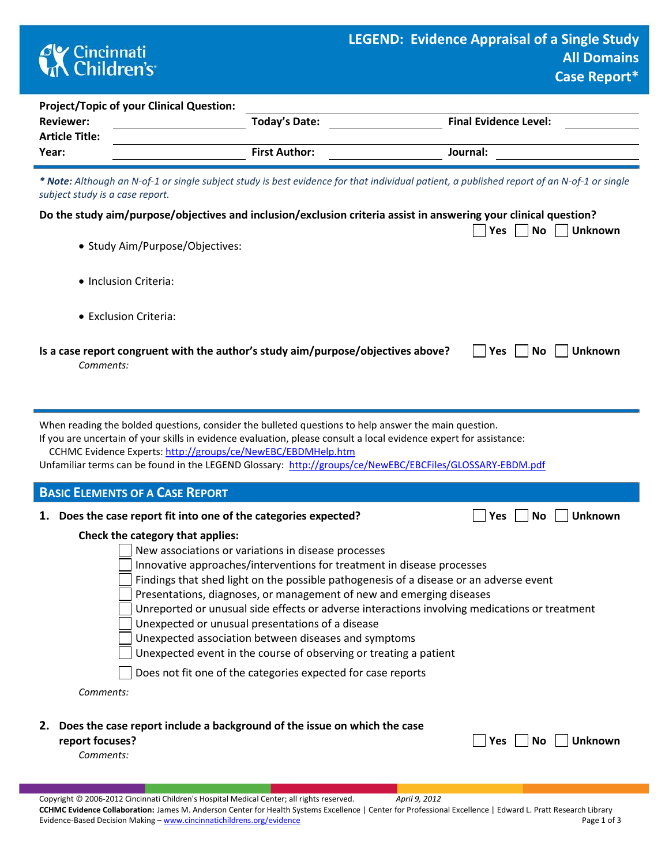

|                                                                                                                                                                                                                                                                                                                                                                                                                                                                                                                                                                                                                                                                                       |                      | Case Inchair                 |  |  |  |  |  |  |  |  |  |
|---------------------------------------------------------------------------------------------------------------------------------------------------------------------------------------------------------------------------------------------------------------------------------------------------------------------------------------------------------------------------------------------------------------------------------------------------------------------------------------------------------------------------------------------------------------------------------------------------------------------------------------------------------------------------------------|----------------------|------------------------------|--|--|--|--|--|--|--|--|--|
| <b>Project/Topic of your Clinical Question:</b><br><b>Reviewer:</b><br><b>Article Title:</b>                                                                                                                                                                                                                                                                                                                                                                                                                                                                                                                                                                                          | <b>Today's Date:</b> | <b>Final Evidence Level:</b> |  |  |  |  |  |  |  |  |  |
| Year:                                                                                                                                                                                                                                                                                                                                                                                                                                                                                                                                                                                                                                                                                 | <b>First Author:</b> | Journal:                     |  |  |  |  |  |  |  |  |  |
| * Note: Although an N-of-1 or single subject study is best evidence for that individual patient, a published report of an N-of-1 or single<br>subject study is a case report.                                                                                                                                                                                                                                                                                                                                                                                                                                                                                                         |                      |                              |  |  |  |  |  |  |  |  |  |
| Do the study aim/purpose/objectives and inclusion/exclusion criteria assist in answering your clinical question?<br>$No$    <br><b>Unknown</b><br>Yes                                                                                                                                                                                                                                                                                                                                                                                                                                                                                                                                 |                      |                              |  |  |  |  |  |  |  |  |  |
| • Study Aim/Purpose/Objectives:                                                                                                                                                                                                                                                                                                                                                                                                                                                                                                                                                                                                                                                       |                      |                              |  |  |  |  |  |  |  |  |  |
| • Inclusion Criteria:                                                                                                                                                                                                                                                                                                                                                                                                                                                                                                                                                                                                                                                                 |                      |                              |  |  |  |  |  |  |  |  |  |
| • Exclusion Criteria:                                                                                                                                                                                                                                                                                                                                                                                                                                                                                                                                                                                                                                                                 |                      |                              |  |  |  |  |  |  |  |  |  |
| Is a case report congruent with the author's study aim/purpose/objectives above?<br><b>Unknown</b><br>Yes<br>No<br>Comments:                                                                                                                                                                                                                                                                                                                                                                                                                                                                                                                                                          |                      |                              |  |  |  |  |  |  |  |  |  |
| When reading the bolded questions, consider the bulleted questions to help answer the main question.<br>If you are uncertain of your skills in evidence evaluation, please consult a local evidence expert for assistance:<br>CCHMC Evidence Experts: http://groups/ce/NewEBC/EBDMHelp.htm<br>Unfamiliar terms can be found in the LEGEND Glossary: http://groups/ce/NewEBC/EBCFiles/GLOSSARY-EBDM.pdf                                                                                                                                                                                                                                                                                |                      |                              |  |  |  |  |  |  |  |  |  |
| <b>BASIC ELEMENTS OF A CASE REPORT</b>                                                                                                                                                                                                                                                                                                                                                                                                                                                                                                                                                                                                                                                |                      |                              |  |  |  |  |  |  |  |  |  |
| Does the case report fit into one of the categories expected?<br>1.                                                                                                                                                                                                                                                                                                                                                                                                                                                                                                                                                                                                                   |                      | <b>Unknown</b><br>Yes<br>No  |  |  |  |  |  |  |  |  |  |
| Check the category that applies:<br>New associations or variations in disease processes<br>Innovative approaches/interventions for treatment in disease processes<br>Findings that shed light on the possible pathogenesis of a disease or an adverse event<br>Presentations, diagnoses, or management of new and emerging diseases<br>Unreported or unusual side effects or adverse interactions involving medications or treatment<br>Unexpected or unusual presentations of a disease<br>Unexpected association between diseases and symptoms<br>Unexpected event in the course of observing or treating a patient<br>Does not fit one of the categories expected for case reports |                      |                              |  |  |  |  |  |  |  |  |  |
| Comments:                                                                                                                                                                                                                                                                                                                                                                                                                                                                                                                                                                                                                                                                             |                      |                              |  |  |  |  |  |  |  |  |  |

**2. Does the case report include a background of the issue on which the case report focuses?** 

|  | $\Box$ Yes $\Box$ No $\Box$ Unknown |  |
|--|-------------------------------------|--|
|  |                                     |  |

*Comments:*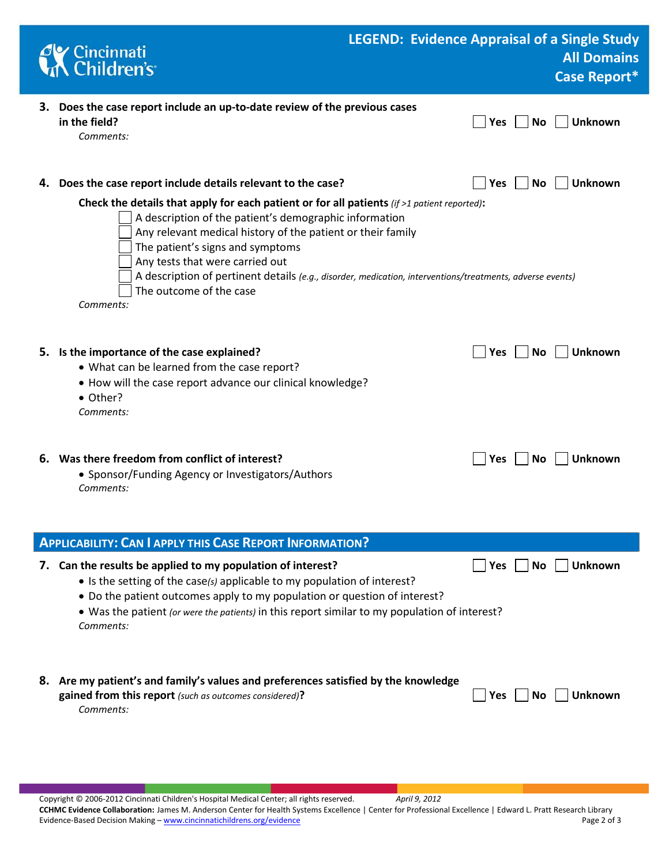| Cincinnati<br>Children's                                                                                                                                                                                                                                                                                                                                                                                                                           | <b>LEGEND: Evidence Appraisal of a Single Study</b> |                           | <b>All Domains</b><br><b>Case Report*</b> |
|----------------------------------------------------------------------------------------------------------------------------------------------------------------------------------------------------------------------------------------------------------------------------------------------------------------------------------------------------------------------------------------------------------------------------------------------------|-----------------------------------------------------|---------------------------|-------------------------------------------|
| 3. Does the case report include an up-to-date review of the previous cases<br>in the field?<br>Comments:                                                                                                                                                                                                                                                                                                                                           |                                                     | Yes<br><b>No</b>          | <b>Unknown</b>                            |
| 4. Does the case report include details relevant to the case?                                                                                                                                                                                                                                                                                                                                                                                      |                                                     | Yes<br><b>No</b>          | <b>Unknown</b>                            |
| Check the details that apply for each patient or for all patients (if $>1$ patient reported):<br>A description of the patient's demographic information<br>Any relevant medical history of the patient or their family<br>The patient's signs and symptoms<br>Any tests that were carried out<br>A description of pertinent details (e.g., disorder, medication, interventions/treatments, adverse events)<br>The outcome of the case<br>Comments: |                                                     |                           |                                           |
| 5. Is the importance of the case explained?<br>• What can be learned from the case report?<br>• How will the case report advance our clinical knowledge?<br>• Other?<br>Comments:                                                                                                                                                                                                                                                                  |                                                     | Yes<br>No.                | <b>Unknown</b>                            |
| 6. Was there freedom from conflict of interest?<br>• Sponsor/Funding Agency or Investigators/Authors<br>Comments:                                                                                                                                                                                                                                                                                                                                  |                                                     | No<br><b>Yes</b>          | <b>Unknown</b>                            |
| <b>APPLICABILITY: CAN I APPLY THIS CASE REPORT INFORMATION?</b>                                                                                                                                                                                                                                                                                                                                                                                    |                                                     |                           |                                           |
| 7. Can the results be applied to my population of interest?<br>• Is the setting of the case(s) applicable to my population of interest?<br>• Do the patient outcomes apply to my population or question of interest?<br>• Was the patient (or were the patients) in this report similar to my population of interest?<br>Comments:                                                                                                                 |                                                     | Yes $\vert$ $\vert$<br>No | Unknown                                   |
| 8. Are my patient's and family's values and preferences satisfied by the knowledge<br>gained from this report (such as outcomes considered)?<br>Comments:                                                                                                                                                                                                                                                                                          |                                                     | Yes<br>No.                | <b>Unknown</b>                            |